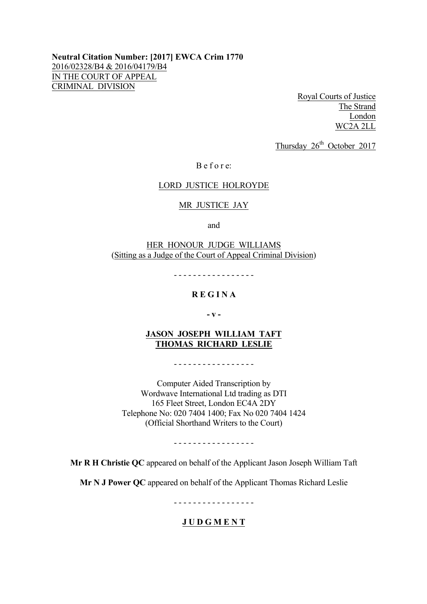**Neutral Citation Number: [2017] EWCA Crim 1770** 2016/02328/B4 & 2016/04179/B4 IN THE COURT OF APPEAL CRIMINAL DIVISION

> Royal Courts of Justice The Strand London WC2A 2LL

Thursday  $26<sup>th</sup>$  October 2017

B e f o r e:

### LORD JUSTICE HOLROYDE

#### MR JUSTICE JAY

and

HER HONOUR JUDGE WILLIAMS (Sitting as a Judge of the Court of Appeal Criminal Division)

- - - - - - - - - - - - - - - - -

# **R E G I N A**

**- v -**

## **JASON JOSEPH WILLIAM TAFT THOMAS RICHARD LESLIE**

- - - - - - - - - - - - - - - - -

Computer Aided Transcription by Wordwave International Ltd trading as DTI 165 Fleet Street, London EC4A 2DY Telephone No: 020 7404 1400; Fax No 020 7404 1424 (Official Shorthand Writers to the Court)

- - - - - - - - - - - - - - - - -

**Mr R H Christie QC** appeared on behalf of the Applicant Jason Joseph William Taft

**Mr N J Power QC** appeared on behalf of the Applicant Thomas Richard Leslie

- - - - - - - - - - - - - - - - -

## **J U D G M E N T**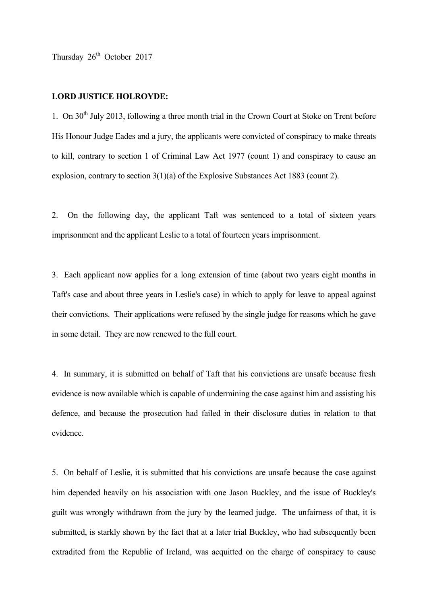#### **LORD JUSTICE HOLROYDE:**

1. On  $30<sup>th</sup>$  July 2013, following a three month trial in the Crown Court at Stoke on Trent before His Honour Judge Eades and a jury, the applicants were convicted of conspiracy to make threats to kill, contrary to section 1 of Criminal Law Act 1977 (count 1) and conspiracy to cause an explosion, contrary to section 3(1)(a) of the Explosive Substances Act 1883 (count 2).

2. On the following day, the applicant Taft was sentenced to a total of sixteen years imprisonment and the applicant Leslie to a total of fourteen years imprisonment.

3. Each applicant now applies for a long extension of time (about two years eight months in Taft's case and about three years in Leslie's case) in which to apply for leave to appeal against their convictions. Their applications were refused by the single judge for reasons which he gave in some detail. They are now renewed to the full court.

4. In summary, it is submitted on behalf of Taft that his convictions are unsafe because fresh evidence is now available which is capable of undermining the case against him and assisting his defence, and because the prosecution had failed in their disclosure duties in relation to that evidence.

5. On behalf of Leslie, it is submitted that his convictions are unsafe because the case against him depended heavily on his association with one Jason Buckley, and the issue of Buckley's guilt was wrongly withdrawn from the jury by the learned judge. The unfairness of that, it is submitted, is starkly shown by the fact that at a later trial Buckley, who had subsequently been extradited from the Republic of Ireland, was acquitted on the charge of conspiracy to cause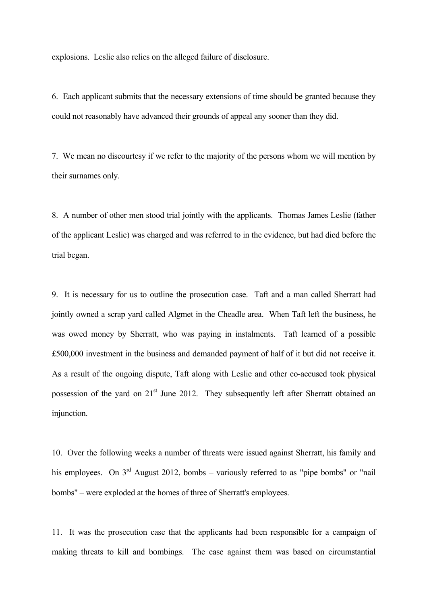explosions. Leslie also relies on the alleged failure of disclosure.

6. Each applicant submits that the necessary extensions of time should be granted because they could not reasonably have advanced their grounds of appeal any sooner than they did.

7. We mean no discourtesy if we refer to the majority of the persons whom we will mention by their surnames only.

8. A number of other men stood trial jointly with the applicants. Thomas James Leslie (father of the applicant Leslie) was charged and was referred to in the evidence, but had died before the trial began.

9. It is necessary for us to outline the prosecution case. Taft and a man called Sherratt had jointly owned a scrap yard called Algmet in the Cheadle area. When Taft left the business, he was owed money by Sherratt, who was paying in instalments. Taft learned of a possible £500,000 investment in the business and demanded payment of half of it but did not receive it. As a result of the ongoing dispute, Taft along with Leslie and other co-accused took physical possession of the yard on  $21<sup>st</sup>$  June 2012. They subsequently left after Sherratt obtained an injunction.

10. Over the following weeks a number of threats were issued against Sherratt, his family and his employees. On  $3<sup>rd</sup>$  August 2012, bombs – variously referred to as "pipe bombs" or "nail bombs" – were exploded at the homes of three of Sherratt's employees.

11. It was the prosecution case that the applicants had been responsible for a campaign of making threats to kill and bombings. The case against them was based on circumstantial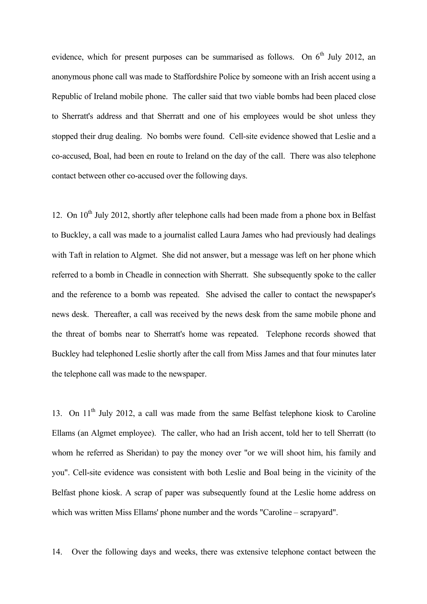evidence, which for present purposes can be summarised as follows. On  $6<sup>th</sup>$  July 2012, an anonymous phone call was made to Staffordshire Police by someone with an Irish accent using a Republic of Ireland mobile phone. The caller said that two viable bombs had been placed close to Sherratt's address and that Sherratt and one of his employees would be shot unless they stopped their drug dealing. No bombs were found. Cell-site evidence showed that Leslie and a co-accused, Boal, had been en route to Ireland on the day of the call. There was also telephone contact between other co-accused over the following days.

12. On  $10^{th}$  July 2012, shortly after telephone calls had been made from a phone box in Belfast to Buckley, a call was made to a journalist called Laura James who had previously had dealings with Taft in relation to Algmet. She did not answer, but a message was left on her phone which referred to a bomb in Cheadle in connection with Sherratt. She subsequently spoke to the caller and the reference to a bomb was repeated. She advised the caller to contact the newspaper's news desk. Thereafter, a call was received by the news desk from the same mobile phone and the threat of bombs near to Sherratt's home was repeated. Telephone records showed that Buckley had telephoned Leslie shortly after the call from Miss James and that four minutes later the telephone call was made to the newspaper.

13. On 11<sup>th</sup> July 2012, a call was made from the same Belfast telephone kiosk to Caroline Ellams (an Algmet employee). The caller, who had an Irish accent, told her to tell Sherratt (to whom he referred as Sheridan) to pay the money over "or we will shoot him, his family and you". Cell-site evidence was consistent with both Leslie and Boal being in the vicinity of the Belfast phone kiosk. A scrap of paper was subsequently found at the Leslie home address on which was written Miss Ellams' phone number and the words "Caroline – scrapyard".

14. Over the following days and weeks, there was extensive telephone contact between the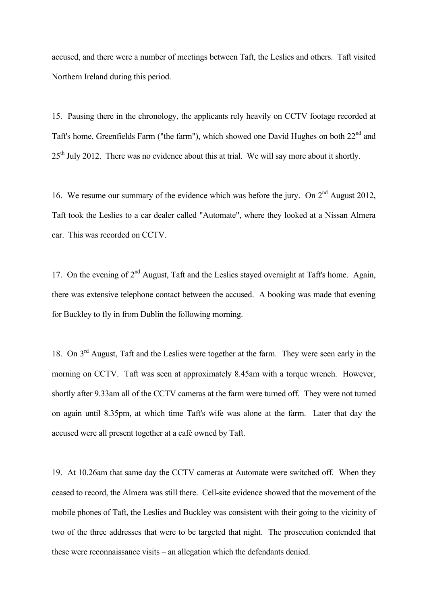accused, and there were a number of meetings between Taft, the Leslies and others. Taft visited Northern Ireland during this period.

15. Pausing there in the chronology, the applicants rely heavily on CCTV footage recorded at Taft's home, Greenfields Farm ("the farm"), which showed one David Hughes on both 22<sup>nd</sup> and 25<sup>th</sup> July 2012. There was no evidence about this at trial. We will say more about it shortly.

16. We resume our summary of the evidence which was before the jury. On  $2<sup>nd</sup>$  August 2012, Taft took the Leslies to a car dealer called "Automate", where they looked at a Nissan Almera car. This was recorded on CCTV.

17. On the evening of  $2^{nd}$  August, Taft and the Leslies stayed overnight at Taft's home. Again, there was extensive telephone contact between the accused. A booking was made that evening for Buckley to fly in from Dublin the following morning.

18. On  $3<sup>rd</sup>$  August. Taft and the Leslies were together at the farm. They were seen early in the morning on CCTV. Taft was seen at approximately 8.45am with a torque wrench. However, shortly after 9.33am all of the CCTV cameras at the farm were turned off. They were not turned on again until 8.35pm, at which time Taft's wife was alone at the farm. Later that day the accused were all present together at a café owned by Taft.

19. At 10.26am that same day the CCTV cameras at Automate were switched off. When they ceased to record, the Almera was still there. Cell-site evidence showed that the movement of the mobile phones of Taft, the Leslies and Buckley was consistent with their going to the vicinity of two of the three addresses that were to be targeted that night. The prosecution contended that these were reconnaissance visits – an allegation which the defendants denied.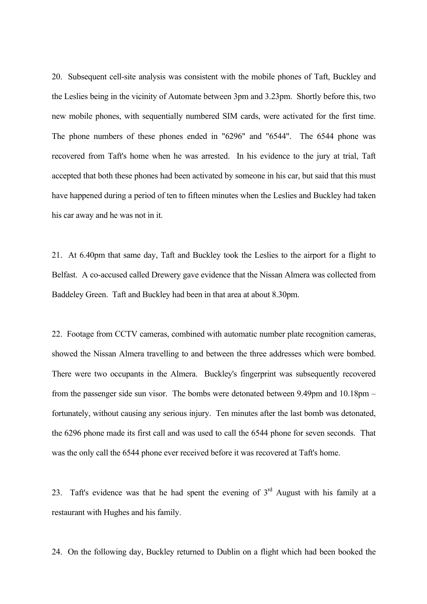20. Subsequent cell-site analysis was consistent with the mobile phones of Taft, Buckley and the Leslies being in the vicinity of Automate between 3pm and 3.23pm. Shortly before this, two new mobile phones, with sequentially numbered SIM cards, were activated for the first time. The phone numbers of these phones ended in "6296" and "6544". The 6544 phone was recovered from Taft's home when he was arrested. In his evidence to the jury at trial, Taft accepted that both these phones had been activated by someone in his car, but said that this must have happened during a period of ten to fifteen minutes when the Leslies and Buckley had taken his car away and he was not in it.

21. At 6.40pm that same day, Taft and Buckley took the Leslies to the airport for a flight to Belfast. A co-accused called Drewery gave evidence that the Nissan Almera was collected from Baddeley Green. Taft and Buckley had been in that area at about 8.30pm.

22. Footage from CCTV cameras, combined with automatic number plate recognition cameras, showed the Nissan Almera travelling to and between the three addresses which were bombed. There were two occupants in the Almera. Buckley's fingerprint was subsequently recovered from the passenger side sun visor. The bombs were detonated between 9.49pm and 10.18pm – fortunately, without causing any serious injury. Ten minutes after the last bomb was detonated, the 6296 phone made its first call and was used to call the 6544 phone for seven seconds. That was the only call the 6544 phone ever received before it was recovered at Taft's home.

23. Taft's evidence was that he had spent the evening of  $3<sup>rd</sup>$  August with his family at a restaurant with Hughes and his family.

24. On the following day, Buckley returned to Dublin on a flight which had been booked the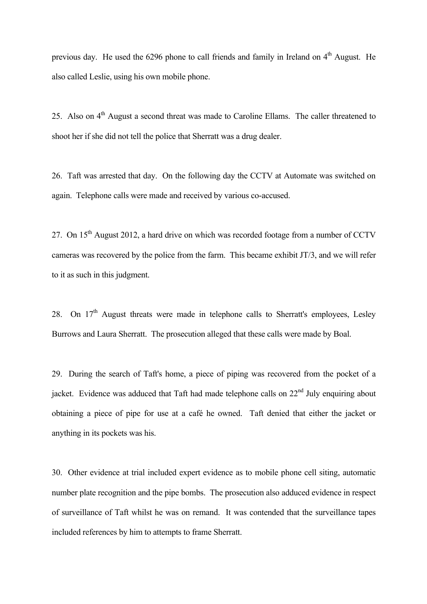previous day. He used the 6296 phone to call friends and family in Ireland on  $4<sup>th</sup>$  August. He also called Leslie, using his own mobile phone.

25. Also on  $4<sup>th</sup>$  August a second threat was made to Caroline Ellams. The caller threatened to shoot her if she did not tell the police that Sherratt was a drug dealer.

26. Taft was arrested that day. On the following day the CCTV at Automate was switched on again. Telephone calls were made and received by various co-accused.

27. On  $15<sup>th</sup>$  August 2012, a hard drive on which was recorded footage from a number of CCTV cameras was recovered by the police from the farm. This became exhibit JT/3, and we will refer to it as such in this judgment.

28. On  $17<sup>th</sup>$  August threats were made in telephone calls to Sherratt's employees, Lesley Burrows and Laura Sherratt. The prosecution alleged that these calls were made by Boal.

29. During the search of Taft's home, a piece of piping was recovered from the pocket of a jacket. Evidence was adduced that Taft had made telephone calls on  $22<sup>nd</sup>$  July enquiring about obtaining a piece of pipe for use at a café he owned. Taft denied that either the jacket or anything in its pockets was his.

30. Other evidence at trial included expert evidence as to mobile phone cell siting, automatic number plate recognition and the pipe bombs. The prosecution also adduced evidence in respect of surveillance of Taft whilst he was on remand. It was contended that the surveillance tapes included references by him to attempts to frame Sherratt.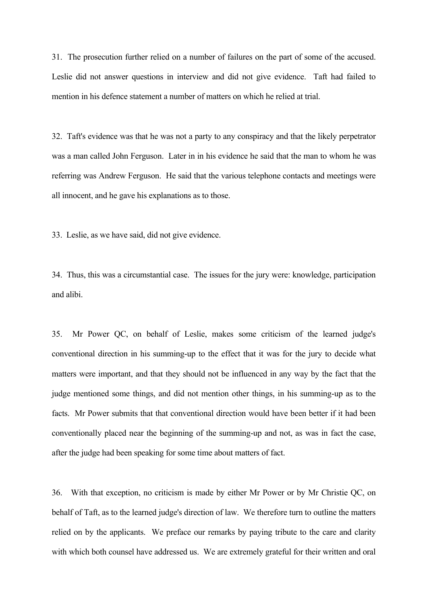31. The prosecution further relied on a number of failures on the part of some of the accused. Leslie did not answer questions in interview and did not give evidence. Taft had failed to mention in his defence statement a number of matters on which he relied at trial.

32. Taft's evidence was that he was not a party to any conspiracy and that the likely perpetrator was a man called John Ferguson. Later in in his evidence he said that the man to whom he was referring was Andrew Ferguson. He said that the various telephone contacts and meetings were all innocent, and he gave his explanations as to those.

33. Leslie, as we have said, did not give evidence.

34. Thus, this was a circumstantial case. The issues for the jury were: knowledge, participation and alibi.

35. Mr Power QC, on behalf of Leslie, makes some criticism of the learned judge's conventional direction in his summing-up to the effect that it was for the jury to decide what matters were important, and that they should not be influenced in any way by the fact that the judge mentioned some things, and did not mention other things, in his summing-up as to the facts. Mr Power submits that that conventional direction would have been better if it had been conventionally placed near the beginning of the summing-up and not, as was in fact the case, after the judge had been speaking for some time about matters of fact.

36. With that exception, no criticism is made by either Mr Power or by Mr Christie QC, on behalf of Taft, as to the learned judge's direction of law. We therefore turn to outline the matters relied on by the applicants. We preface our remarks by paying tribute to the care and clarity with which both counsel have addressed us. We are extremely grateful for their written and oral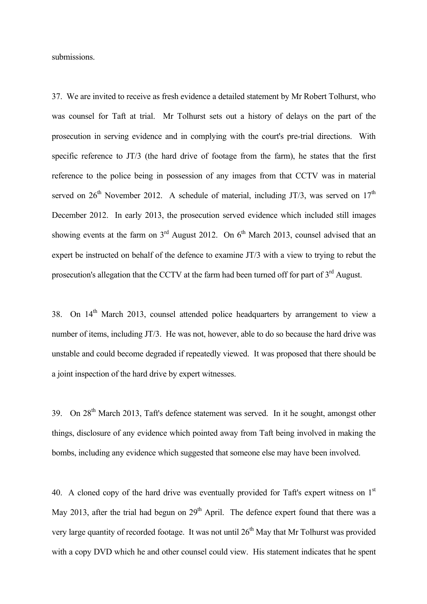submissions.

37. We are invited to receive as fresh evidence a detailed statement by Mr Robert Tolhurst, who was counsel for Taft at trial. Mr Tolhurst sets out a history of delays on the part of the prosecution in serving evidence and in complying with the court's pre-trial directions. With specific reference to JT/3 (the hard drive of footage from the farm), he states that the first reference to the police being in possession of any images from that CCTV was in material served on  $26<sup>th</sup>$  November 2012. A schedule of material, including JT/3, was served on  $17<sup>th</sup>$ December 2012. In early 2013, the prosecution served evidence which included still images showing events at the farm on  $3<sup>rd</sup>$  August 2012. On 6<sup>th</sup> March 2013, counsel advised that an expert be instructed on behalf of the defence to examine JT/3 with a view to trying to rebut the prosecution's allegation that the CCTV at the farm had been turned off for part of 3<sup>rd</sup> August.

38. On 14<sup>th</sup> March 2013, counsel attended police headquarters by arrangement to view a number of items, including JT/3. He was not, however, able to do so because the hard drive was unstable and could become degraded if repeatedly viewed. It was proposed that there should be a joint inspection of the hard drive by expert witnesses.

39. On 28<sup>th</sup> March 2013, Taft's defence statement was served. In it he sought, amongst other things, disclosure of any evidence which pointed away from Taft being involved in making the bombs, including any evidence which suggested that someone else may have been involved.

40. A cloned copy of the hard drive was eventually provided for Taft's expert witness on  $1<sup>st</sup>$ May 2013, after the trial had begun on  $29<sup>th</sup>$  April. The defence expert found that there was a very large quantity of recorded footage. It was not until  $26<sup>th</sup>$  May that Mr Tolhurst was provided with a copy DVD which he and other counsel could view. His statement indicates that he spent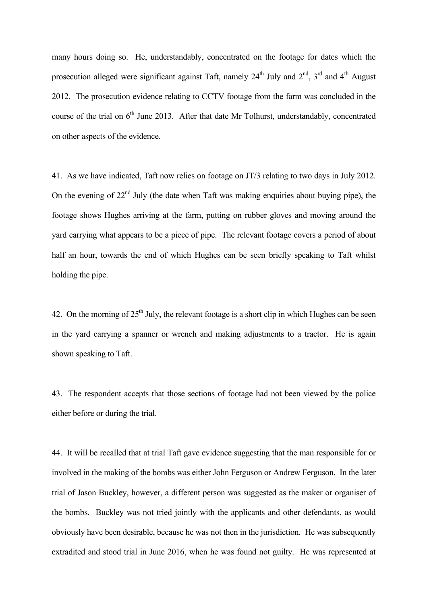many hours doing so. He, understandably, concentrated on the footage for dates which the prosecution alleged were significant against Taft, namely  $24<sup>th</sup>$  July and  $2<sup>nd</sup>$ ,  $3<sup>rd</sup>$  and  $4<sup>th</sup>$  August 2012. The prosecution evidence relating to CCTV footage from the farm was concluded in the course of the trial on  $6<sup>th</sup>$  June 2013. After that date Mr Tolhurst, understandably, concentrated on other aspects of the evidence.

41. As we have indicated, Taft now relies on footage on JT/3 relating to two days in July 2012. On the evening of  $22<sup>nd</sup>$  July (the date when Taft was making enquiries about buying pipe), the footage shows Hughes arriving at the farm, putting on rubber gloves and moving around the yard carrying what appears to be a piece of pipe. The relevant footage covers a period of about half an hour, towards the end of which Hughes can be seen briefly speaking to Taft whilst holding the pipe.

42. On the morning of  $25<sup>th</sup>$  July, the relevant footage is a short clip in which Hughes can be seen in the yard carrying a spanner or wrench and making adjustments to a tractor. He is again shown speaking to Taft.

43. The respondent accepts that those sections of footage had not been viewed by the police either before or during the trial.

44. It will be recalled that at trial Taft gave evidence suggesting that the man responsible for or involved in the making of the bombs was either John Ferguson or Andrew Ferguson. In the later trial of Jason Buckley, however, a different person was suggested as the maker or organiser of the bombs. Buckley was not tried jointly with the applicants and other defendants, as would obviously have been desirable, because he was not then in the jurisdiction. He was subsequently extradited and stood trial in June 2016, when he was found not guilty. He was represented at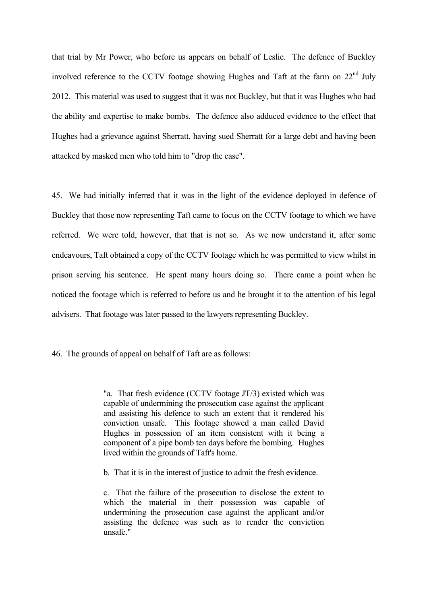that trial by Mr Power, who before us appears on behalf of Leslie. The defence of Buckley involved reference to the CCTV footage showing Hughes and Taft at the farm on 22<sup>nd</sup> July 2012. This material was used to suggest that it was not Buckley, but that it was Hughes who had the ability and expertise to make bombs. The defence also adduced evidence to the effect that Hughes had a grievance against Sherratt, having sued Sherratt for a large debt and having been attacked by masked men who told him to "drop the case".

45. We had initially inferred that it was in the light of the evidence deployed in defence of Buckley that those now representing Taft came to focus on the CCTV footage to which we have referred. We were told, however, that that is not so. As we now understand it, after some endeavours, Taft obtained a copy of the CCTV footage which he was permitted to view whilst in prison serving his sentence. He spent many hours doing so. There came a point when he noticed the footage which is referred to before us and he brought it to the attention of his legal advisers. That footage was later passed to the lawyers representing Buckley.

46. The grounds of appeal on behalf of Taft are as follows:

"a. That fresh evidence (CCTV footage JT/3) existed which was capable of undermining the prosecution case against the applicant and assisting his defence to such an extent that it rendered his conviction unsafe. This footage showed a man called David Hughes in possession of an item consistent with it being a component of a pipe bomb ten days before the bombing. Hughes lived within the grounds of Taft's home.

b. That it is in the interest of justice to admit the fresh evidence.

c. That the failure of the prosecution to disclose the extent to which the material in their possession was capable of undermining the prosecution case against the applicant and/or assisting the defence was such as to render the conviction unsafe."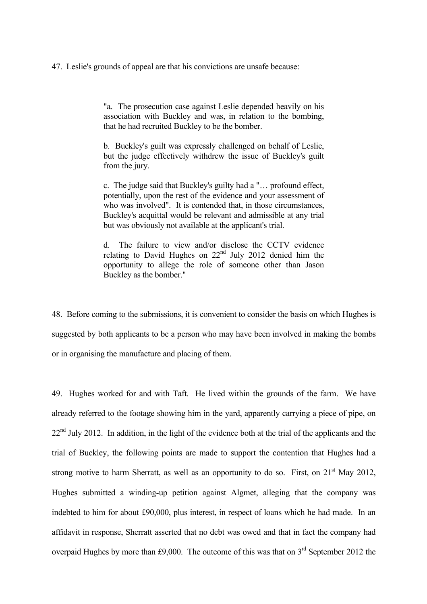47. Leslie's grounds of appeal are that his convictions are unsafe because:

"a. The prosecution case against Leslie depended heavily on his association with Buckley and was, in relation to the bombing, that he had recruited Buckley to be the bomber.

b. Buckley's guilt was expressly challenged on behalf of Leslie, but the judge effectively withdrew the issue of Buckley's guilt from the jury.

c. The judge said that Buckley's guilty had a "… profound effect, potentially, upon the rest of the evidence and your assessment of who was involved". It is contended that, in those circumstances, Buckley's acquittal would be relevant and admissible at any trial but was obviously not available at the applicant's trial.

d. The failure to view and/or disclose the CCTV evidence relating to David Hughes on  $22<sup>nd</sup>$  July 2012 denied him the opportunity to allege the role of someone other than Jason Buckley as the bomber."

48. Before coming to the submissions, it is convenient to consider the basis on which Hughes is suggested by both applicants to be a person who may have been involved in making the bombs or in organising the manufacture and placing of them.

49. Hughes worked for and with Taft. He lived within the grounds of the farm. We have already referred to the footage showing him in the yard, apparently carrying a piece of pipe, on  $22<sup>nd</sup>$  July 2012. In addition, in the light of the evidence both at the trial of the applicants and the trial of Buckley, the following points are made to support the contention that Hughes had a strong motive to harm Sherratt, as well as an opportunity to do so. First, on 21<sup>st</sup> May 2012, Hughes submitted a winding-up petition against Algmet, alleging that the company was indebted to him for about £90,000, plus interest, in respect of loans which he had made. In an affidavit in response, Sherratt asserted that no debt was owed and that in fact the company had overpaid Hughes by more than £9,000. The outcome of this was that on  $3<sup>rd</sup>$  September 2012 the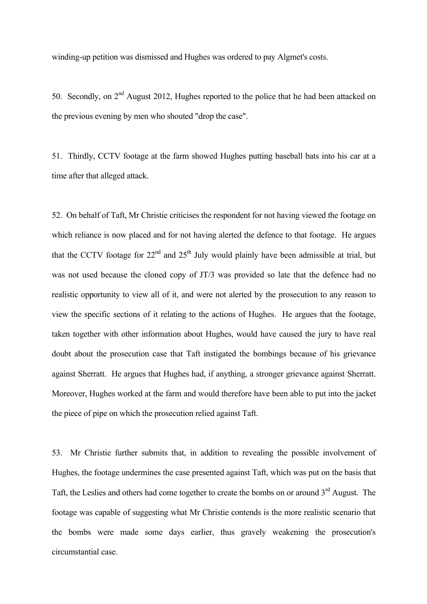winding-up petition was dismissed and Hughes was ordered to pay Algmet's costs.

50. Secondly, on 2<sup>nd</sup> August 2012, Hughes reported to the police that he had been attacked on the previous evening by men who shouted "drop the case".

51. Thirdly, CCTV footage at the farm showed Hughes putting baseball bats into his car at a time after that alleged attack.

52. On behalf of Taft, Mr Christie criticises the respondent for not having viewed the footage on which reliance is now placed and for not having alerted the defence to that footage. He argues that the CCTV footage for  $22<sup>nd</sup>$  and  $25<sup>th</sup>$  July would plainly have been admissible at trial, but was not used because the cloned copy of JT/3 was provided so late that the defence had no realistic opportunity to view all of it, and were not alerted by the prosecution to any reason to view the specific sections of it relating to the actions of Hughes. He argues that the footage, taken together with other information about Hughes, would have caused the jury to have real doubt about the prosecution case that Taft instigated the bombings because of his grievance against Sherratt. He argues that Hughes had, if anything, a stronger grievance against Sherratt. Moreover, Hughes worked at the farm and would therefore have been able to put into the jacket the piece of pipe on which the prosecution relied against Taft.

53. Mr Christie further submits that, in addition to revealing the possible involvement of Hughes, the footage undermines the case presented against Taft, which was put on the basis that Taft, the Leslies and others had come together to create the bombs on or around  $3<sup>rd</sup>$  August. The footage was capable of suggesting what Mr Christie contends is the more realistic scenario that the bombs were made some days earlier, thus gravely weakening the prosecution's circumstantial case.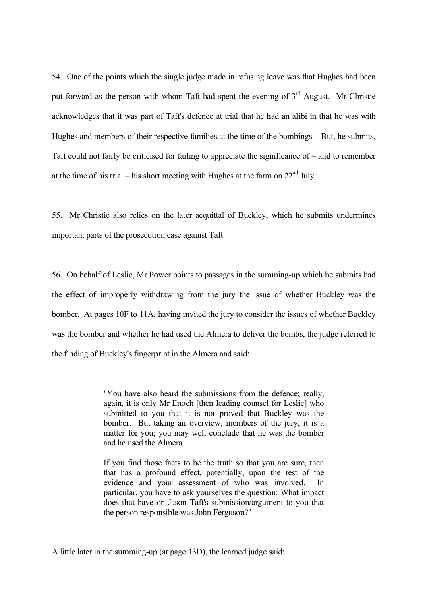54. One of the points which the single judge made in refusing leave was that Hughes had been put forward as the person with whom Taft had spent the evening of 3<sup>rd</sup> August. Mr Christie acknowledges that it was part of Taft's defence at trial that he had an alibi in that he was with Hughes and members of their respective families at the time of the bombings. But, he submits, Taft could not fairly be criticised for failing to appreciate the significance of – and to remember at the time of his trial – his short meeting with Hughes at the farm on  $22<sup>nd</sup>$  July.

55. Mr Christie also relies on the later acquittal of Buckley, which he submits undermines important parts of the prosecution case against Taft.

56. On behalf of Leslie, Mr Power points to passages in the summing-up which he submits had the effect of improperly withdrawing from the jury the issue of whether Buckley was the bomber. At pages 10F to 11A, having invited the jury to consider the issues of whether Buckley was the bomber and whether he had used the Almera to deliver the bombs, the judge referred to the finding of Buckley's fingerprint in the Almera and said:

> "You have also heard the submissions from the defence; really, again, it is only Mr Enoch [then leading counsel for Leslie] who submitted to you that it is not proved that Buckley was the bomber. But taking an overview, members of the jury, it is a matter for you; you may well conclude that he was the bomber and he used the Almera.

> If you find those facts to be the truth so that you are sure, then that has a profound effect, potentially, upon the rest of the evidence and your assessment of who was involved. In particular, you have to ask yourselves the question: What impact does that have on Jason Taft's submission/argument to you that the person responsible was John Ferguson?"

A little later in the summing-up (at page 13D), the learned judge said: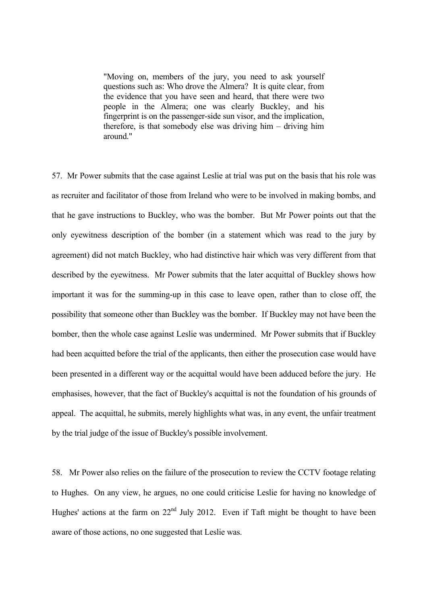"Moving on, members of the jury, you need to ask yourself questions such as: Who drove the Almera? It is quite clear, from the evidence that you have seen and heard, that there were two people in the Almera; one was clearly Buckley, and his fingerprint is on the passenger-side sun visor, and the implication, therefore, is that somebody else was driving him – driving him around."

57. Mr Power submits that the case against Leslie at trial was put on the basis that his role was as recruiter and facilitator of those from Ireland who were to be involved in making bombs, and that he gave instructions to Buckley, who was the bomber. But Mr Power points out that the only eyewitness description of the bomber (in a statement which was read to the jury by agreement) did not match Buckley, who had distinctive hair which was very different from that described by the eyewitness. Mr Power submits that the later acquittal of Buckley shows how important it was for the summing-up in this case to leave open, rather than to close off, the possibility that someone other than Buckley was the bomber. If Buckley may not have been the bomber, then the whole case against Leslie was undermined. Mr Power submits that if Buckley had been acquitted before the trial of the applicants, then either the prosecution case would have been presented in a different way or the acquittal would have been adduced before the jury. He emphasises, however, that the fact of Buckley's acquittal is not the foundation of his grounds of appeal. The acquittal, he submits, merely highlights what was, in any event, the unfair treatment by the trial judge of the issue of Buckley's possible involvement.

58. Mr Power also relies on the failure of the prosecution to review the CCTV footage relating to Hughes. On any view, he argues, no one could criticise Leslie for having no knowledge of Hughes' actions at the farm on  $22<sup>nd</sup>$  July 2012. Even if Taft might be thought to have been aware of those actions, no one suggested that Leslie was.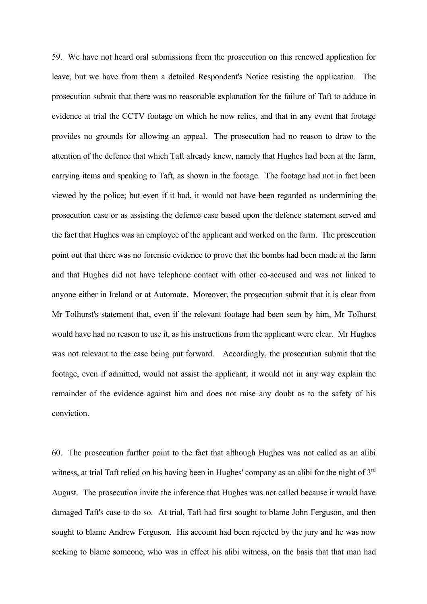59. We have not heard oral submissions from the prosecution on this renewed application for leave, but we have from them a detailed Respondent's Notice resisting the application. The prosecution submit that there was no reasonable explanation for the failure of Taft to adduce in evidence at trial the CCTV footage on which he now relies, and that in any event that footage provides no grounds for allowing an appeal. The prosecution had no reason to draw to the attention of the defence that which Taft already knew, namely that Hughes had been at the farm, carrying items and speaking to Taft, as shown in the footage. The footage had not in fact been viewed by the police; but even if it had, it would not have been regarded as undermining the prosecution case or as assisting the defence case based upon the defence statement served and the fact that Hughes was an employee of the applicant and worked on the farm. The prosecution point out that there was no forensic evidence to prove that the bombs had been made at the farm and that Hughes did not have telephone contact with other co-accused and was not linked to anyone either in Ireland or at Automate. Moreover, the prosecution submit that it is clear from Mr Tolhurst's statement that, even if the relevant footage had been seen by him, Mr Tolhurst would have had no reason to use it, as his instructions from the applicant were clear. Mr Hughes was not relevant to the case being put forward. Accordingly, the prosecution submit that the footage, even if admitted, would not assist the applicant; it would not in any way explain the remainder of the evidence against him and does not raise any doubt as to the safety of his conviction.

60. The prosecution further point to the fact that although Hughes was not called as an alibi witness, at trial Taft relied on his having been in Hughes' company as an alibi for the night of 3<sup>rd</sup> August. The prosecution invite the inference that Hughes was not called because it would have damaged Taft's case to do so. At trial, Taft had first sought to blame John Ferguson, and then sought to blame Andrew Ferguson. His account had been rejected by the jury and he was now seeking to blame someone, who was in effect his alibi witness, on the basis that that man had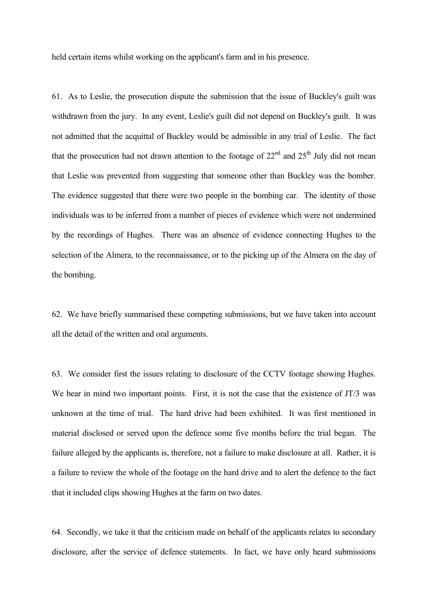held certain items whilst working on the applicant's farm and in his presence.

61. As to Leslie, the prosecution dispute the submission that the issue of Buckley's guilt was withdrawn from the jury. In any event, Leslie's guilt did not depend on Buckley's guilt. It was not admitted that the acquittal of Buckley would be admissible in any trial of Leslie. The fact that the prosecution had not drawn attention to the footage of  $22<sup>nd</sup>$  and  $25<sup>th</sup>$  July did not mean that Leslie was prevented from suggesting that someone other than Buckley was the bomber. The evidence suggested that there were two people in the bombing car. The identity of those individuals was to be inferred from a number of pieces of evidence which were not undermined by the recordings of Hughes. There was an absence of evidence connecting Hughes to the selection of the Almera, to the reconnaissance, or to the picking up of the Almera on the day of the bombing.

62. We have briefly summarised these competing submissions, but we have taken into account all the detail of the written and oral arguments.

63. We consider first the issues relating to disclosure of the CCTV footage showing Hughes. We bear in mind two important points. First, it is not the case that the existence of JT/3 was unknown at the time of trial. The hard drive had been exhibited. It was first mentioned in material disclosed or served upon the defence some five months before the trial began. The failure alleged by the applicants is, therefore, not a failure to make disclosure at all. Rather, it is a failure to review the whole of the footage on the hard drive and to alert the defence to the fact that it included clips showing Hughes at the farm on two dates.

64. Secondly, we take it that the criticism made on behalf of the applicants relates to secondary disclosure, after the service of defence statements. In fact, we have only heard submissions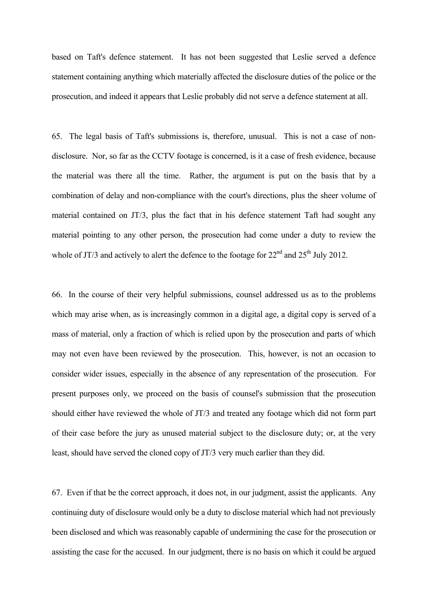based on Taft's defence statement. It has not been suggested that Leslie served a defence statement containing anything which materially affected the disclosure duties of the police or the prosecution, and indeed it appears that Leslie probably did not serve a defence statement at all.

65. The legal basis of Taft's submissions is, therefore, unusual. This is not a case of nondisclosure. Nor, so far as the CCTV footage is concerned, is it a case of fresh evidence, because the material was there all the time. Rather, the argument is put on the basis that by a combination of delay and non-compliance with the court's directions, plus the sheer volume of material contained on JT/3, plus the fact that in his defence statement Taft had sought any material pointing to any other person, the prosecution had come under a duty to review the whole of JT/3 and actively to alert the defence to the footage for  $22<sup>nd</sup>$  and  $25<sup>th</sup>$  July 2012.

66. In the course of their very helpful submissions, counsel addressed us as to the problems which may arise when, as is increasingly common in a digital age, a digital copy is served of a mass of material, only a fraction of which is relied upon by the prosecution and parts of which may not even have been reviewed by the prosecution. This, however, is not an occasion to consider wider issues, especially in the absence of any representation of the prosecution. For present purposes only, we proceed on the basis of counsel's submission that the prosecution should either have reviewed the whole of JT/3 and treated any footage which did not form part of their case before the jury as unused material subject to the disclosure duty; or, at the very least, should have served the cloned copy of JT/3 very much earlier than they did.

67. Even if that be the correct approach, it does not, in our judgment, assist the applicants. Any continuing duty of disclosure would only be a duty to disclose material which had not previously been disclosed and which was reasonably capable of undermining the case for the prosecution or assisting the case for the accused. In our judgment, there is no basis on which it could be argued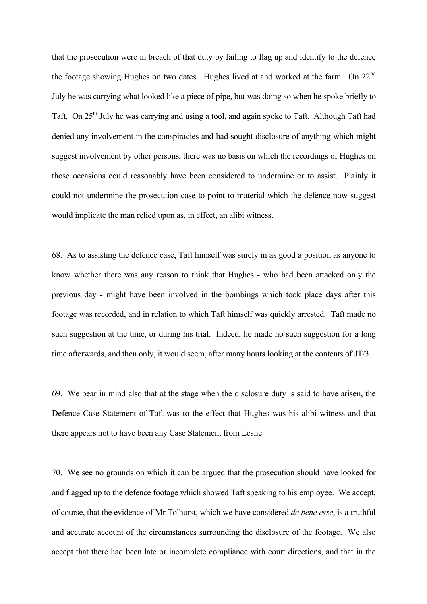that the prosecution were in breach of that duty by failing to flag up and identify to the defence the footage showing Hughes on two dates. Hughes lived at and worked at the farm. On 22<sup>nd</sup> July he was carrying what looked like a piece of pipe, but was doing so when he spoke briefly to Taft. On 25<sup>th</sup> July he was carrying and using a tool, and again spoke to Taft. Although Taft had denied any involvement in the conspiracies and had sought disclosure of anything which might suggest involvement by other persons, there was no basis on which the recordings of Hughes on those occasions could reasonably have been considered to undermine or to assist. Plainly it could not undermine the prosecution case to point to material which the defence now suggest would implicate the man relied upon as, in effect, an alibi witness.

68. As to assisting the defence case, Taft himself was surely in as good a position as anyone to know whether there was any reason to think that Hughes - who had been attacked only the previous day - might have been involved in the bombings which took place days after this footage was recorded, and in relation to which Taft himself was quickly arrested. Taft made no such suggestion at the time, or during his trial. Indeed, he made no such suggestion for a long time afterwards, and then only, it would seem, after many hours looking at the contents of JT/3.

69. We bear in mind also that at the stage when the disclosure duty is said to have arisen, the Defence Case Statement of Taft was to the effect that Hughes was his alibi witness and that there appears not to have been any Case Statement from Leslie.

70. We see no grounds on which it can be argued that the prosecution should have looked for and flagged up to the defence footage which showed Taft speaking to his employee. We accept, of course, that the evidence of Mr Tolhurst, which we have considered *de bene esse*, is a truthful and accurate account of the circumstances surrounding the disclosure of the footage. We also accept that there had been late or incomplete compliance with court directions, and that in the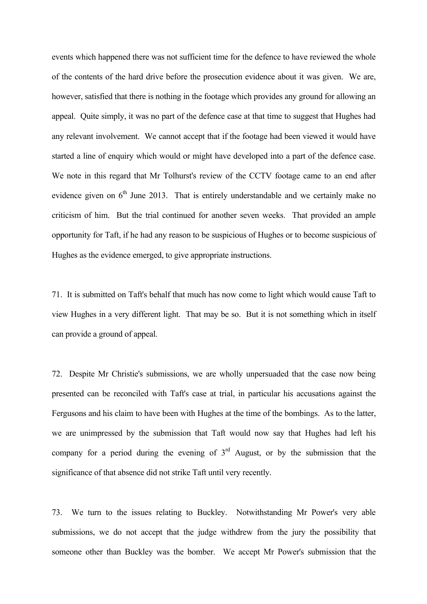events which happened there was not sufficient time for the defence to have reviewed the whole of the contents of the hard drive before the prosecution evidence about it was given. We are, however, satisfied that there is nothing in the footage which provides any ground for allowing an appeal. Quite simply, it was no part of the defence case at that time to suggest that Hughes had any relevant involvement. We cannot accept that if the footage had been viewed it would have started a line of enquiry which would or might have developed into a part of the defence case. We note in this regard that Mr Tolhurst's review of the CCTV footage came to an end after evidence given on  $6<sup>th</sup>$  June 2013. That is entirely understandable and we certainly make no criticism of him. But the trial continued for another seven weeks. That provided an ample opportunity for Taft, if he had any reason to be suspicious of Hughes or to become suspicious of Hughes as the evidence emerged, to give appropriate instructions.

71. It is submitted on Taft's behalf that much has now come to light which would cause Taft to view Hughes in a very different light. That may be so. But it is not something which in itself can provide a ground of appeal.

72. Despite Mr Christie's submissions, we are wholly unpersuaded that the case now being presented can be reconciled with Taft's case at trial, in particular his accusations against the Fergusons and his claim to have been with Hughes at the time of the bombings. As to the latter, we are unimpressed by the submission that Taft would now say that Hughes had left his company for a period during the evening of  $3<sup>rd</sup>$  August, or by the submission that the significance of that absence did not strike Taft until very recently.

73. We turn to the issues relating to Buckley. Notwithstanding Mr Power's very able submissions, we do not accept that the judge withdrew from the jury the possibility that someone other than Buckley was the bomber. We accept Mr Power's submission that the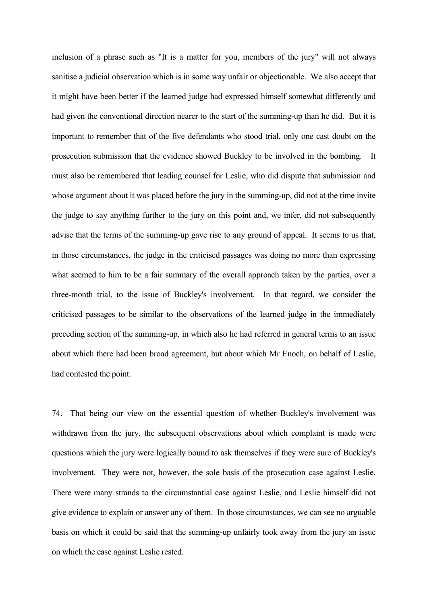inclusion of a phrase such as "It is a matter for you, members of the jury" will not always sanitise a judicial observation which is in some way unfair or objectionable. We also accept that it might have been better if the learned judge had expressed himself somewhat differently and had given the conventional direction nearer to the start of the summing-up than he did. But it is important to remember that of the five defendants who stood trial, only one cast doubt on the prosecution submission that the evidence showed Buckley to be involved in the bombing. It must also be remembered that leading counsel for Leslie, who did dispute that submission and whose argument about it was placed before the jury in the summing-up, did not at the time invite the judge to say anything further to the jury on this point and, we infer, did not subsequently advise that the terms of the summing-up gave rise to any ground of appeal. It seems to us that, in those circumstances, the judge in the criticised passages was doing no more than expressing what seemed to him to be a fair summary of the overall approach taken by the parties, over a three-month trial, to the issue of Buckley's involvement. In that regard, we consider the criticised passages to be similar to the observations of the learned judge in the immediately preceding section of the summing-up, in which also he had referred in general terms to an issue about which there had been broad agreement, but about which Mr Enoch, on behalf of Leslie, had contested the point.

74. That being our view on the essential question of whether Buckley's involvement was withdrawn from the jury, the subsequent observations about which complaint is made were questions which the jury were logically bound to ask themselves if they were sure of Buckley's involvement. They were not, however, the sole basis of the prosecution case against Leslie. There were many strands to the circumstantial case against Leslie, and Leslie himself did not give evidence to explain or answer any of them. In those circumstances, we can see no arguable basis on which it could be said that the summing-up unfairly took away from the jury an issue on which the case against Leslie rested.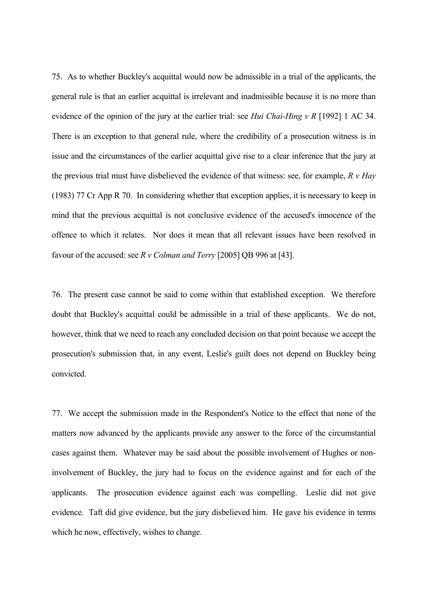75. As to whether Buckley's acquittal would now be admissible in a trial of the applicants, the general rule is that an earlier acquittal is irrelevant and inadmissible because it is no more than evidence of the opinion of the jury at the earlier trial: see *Hui Chai-Hing v R* [1992] 1 AC 34. There is an exception to that general rule, where the credibility of a prosecution witness is in issue and the circumstances of the earlier acquittal give rise to a clear inference that the jury at the previous trial must have disbelieved the evidence of that witness: see, for example, *R v Hay* (1983) 77 Cr App R 70. In considering whether that exception applies, it is necessary to keep in mind that the previous acquittal is not conclusive evidence of the accused's innocence of the offence to which it relates. Nor does it mean that all relevant issues have been resolved in favour of the accused: see *R v Colman and Terry* [2005] QB 996 at [43].

76. The present case cannot be said to come within that established exception. We therefore doubt that Buckley's acquittal could be admissible in a trial of these applicants. We do not, however, think that we need to reach any concluded decision on that point because we accept the prosecution's submission that, in any event, Leslie's guilt does not depend on Buckley being convicted.

77. We accept the submission made in the Respondent's Notice to the effect that none of the matters now advanced by the applicants provide any answer to the force of the circumstantial cases against them. Whatever may be said about the possible involvement of Hughes or noninvolvement of Buckley, the jury had to focus on the evidence against and for each of the applicants. The prosecution evidence against each was compelling. Leslie did not give evidence. Taft did give evidence, but the jury disbelieved him. He gave his evidence in terms which he now, effectively, wishes to change.